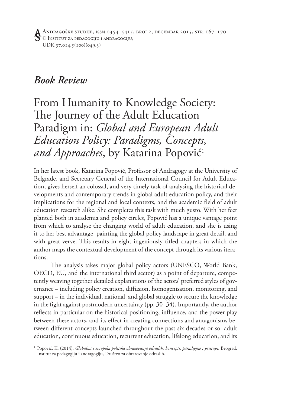Andragoške studije, issn 0354–5415, broj 2, decembar 2015, str. 167–170 © Institut za pedagogiju i andragogiju; UDK 37.014.5(100)(049.3)

## *Book Review*

From Humanity to Knowledge Society: The Journey of the Adult Education Paradigm in: *Global and European Adult Education Policy: Paradigms, Concepts, and Approaches*, by Katarina Popović<sup>1</sup>

In her latest book, Katarina Popović, Professor of Andragogy at the University of Belgrade, and Secretary General of the International Council for Adult Education, gives herself an colossal, and very timely task of analysing the historical developments and contemporary trends in global adult education policy, and their implications for the regional and local contexts, and the academic field of adult education research alike. She completes this task with much gusto. With her feet planted both in academia and policy circles, Popović has a unique vantage point from which to analyse the changing world of adult education, and she is using it to her best advantage, painting the global policy landscape in great detail, and with great verve. This results in eight ingeniously titled chapters in which the author maps the contextual development of the concept through its various iterations.

The analysis takes major global policy actors (UNESCO, World Bank, OECD, EU, and the international third sector) as a point of departure, competently weaving together detailed explanations of the actors' preferred styles of governance – including policy creation, diffusion, homogenisation, monitoring, and support – in the individual, national, and global struggle to secure the knowledge in the fight against postmodern uncertainty (pp. 30–34). Importantly, the author reflects in particular on the historical positioning, influence, and the power play between these actors, and its effect in creating connections and antagonisms between different concepts launched throughout the past six decades or so: adult education, continuous education, recurrent education, lifelong education, and its

<sup>1</sup> Popović, K. (2014). *Globalna i evropska politika obrazovanja odraslih: koncepti, paradigme i pristupi.* Beograd: Institut za pedagogiju i andragogiju, Društvo za obrazovanje odraslih.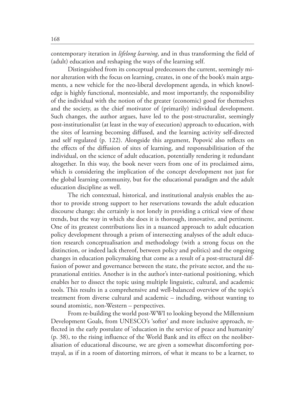contemporary iteration in *lifelong learning*, and in thus transforming the field of (adult) education and reshaping the ways of the learning self.

Distinguished from its conceptual predecessors the current, seemingly minor alteration with the focus on learning, creates, in one of the book's main arguments, a new vehicle for the neo-liberal development agenda, in which knowledge is highly functional, montesiable, and most importantly, the responsibility of the individual with the notion of the greater (economic) good for themselves and the society, as the chief motivator of (primarily) individual development. Such changes, the author argues, have led to the post-structuralist, seemingly post-institutionalist (at least in the way of execution) approach to education, with the sites of learning becoming diffused, and the learning activity self-directed and self regulated (p. 122). Alongside this argument, Popović also reflects on the effects of the diffusion of sites of learning, and responsabilitisation of the individual, on the science of adult education, potentially rendering it redundant altogether. In this way, the book never veers from one of its proclaimed aims, which is considering the implication of the concept development not just for the global learning community, but for the educational paradigm and the adult education discipline as well.

The rich contextual, historical, and institutional analysis enables the author to provide strong support to her reservations towards the adult education discourse change; she certainly is not lonely in providing a critical view of these trends, but the way in which she does it is thorough, innovative, and pertinent. One of its greatest contributions lies in a nuanced approach to adult education policy development through a prism of intersecting analyses of the adult education research conceptualisation and methodology (with a strong focus on the distinction, or indeed lack thereof, between policy and politics) and the ongoing changes in education policymaking that come as a result of a post-structural diffusion of power and governance between the state, the private sector, and the supranational entities. Another is in the author's inter-national positioning, which enables her to dissect the topic using multiple linguistic, cultural, and academic tools. This results in a comprehensive and well-balanced overview of the topic's treatment from diverse cultural and academic – including, without wanting to sound atomistic, non-Western – perspectives.

From re-building the world post-WWI to looking beyond the Millennium Development Goals, from UNESCO's 'softer' and more inclusive approach, reflected in the early postulate of 'education in the service of peace and humanity' (p. 38), to the rising influence of the World Bank and its effect on the neoliberalisation of educational discourse, we are given a somewhat discomforting portrayal, as if in a room of distorting mirrors, of what it means to be a learner, to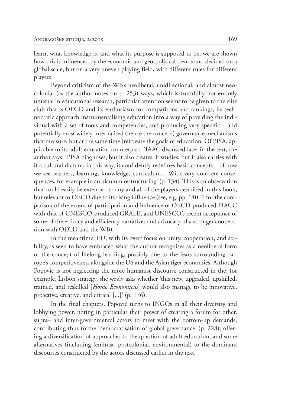learn, what knowledge is, and what its purpose is supposed to be; we are shown how this is influenced by the economic and geo-political trends and decided on a global scale, but on a very uneven playing field, with different rules for different players.

Beyond criticism of the WB's neoliberal, unidirectional, and almost neocolonial (as the author notes on p. 253) ways, which is truthfully not entirely unusual in educational research, particular attention seems to be given to the elite club that is OECD and its enthusiasm for comparisons and rankings, its technocratic approach instrumentalising education into a way of providing the individual with a set of tools and competencies, and producing very specific – and potentially most widely internalised (hence the concern) governance mechanisms that measure, but at the same time (re)create the goals of education. Of PISA, applicable to its adult education counterpart PIAAC discussed later in the text, the author says: 'PISA diagnoses, but it also creates, it studies, but it also carries with it a cultural dictum; in this way, it confidently redefines basic concepts – of how we see learners, learning, knowledge, curriculum... With very concrete consequences, for example in curriculum restructuring' (p. 134). This is an observation that could easily be extended to any and all of the players described in this book, but relevant to OECD due to its rising influence (see, e.g. pp. 140–1 for the comparison of the extent of participation and influence of OECD-produced PIACC with that of UNESCO-produced GRALE, and UNESCO's recent acceptance of some of the efficacy and efficiency narratives and advocacy of a stronger cooperation with OECD and the WB).

In the meantime, EU, with its overt focus on unity, cooperation, and stability, is seen to have embraced what the author recognises as a neoliberal form of the concept of lifelong learning, possibly due to the fears surrounding Europe's competitiveness alongside the US and the Asian tiger economies. Although Popović is not neglecting the more humanist discourse constructed in the, for example, Lisbon strategy, she wryly asks whether 'this new, upgraded, upskilled, trained, and reskilled [*Homo Economicus*] would also manage to be innovative, proactive, creative, and critical [...]' (p. 176).

In the final chapters, Popović turns to INGOs in all their diversity and lobbying power, noting in particular their power of creating a forum for other, supra– and inter-governmental actors to meet with the bottom-up demands, contributing thus to the 'democratisation of global governance' (p. 228), offering a diversification of approaches to the question of adult education, and some alternatives (including feminist, postcolonial, environmental) to the dominant discourses constructed by the actors discussed earlier in the text.